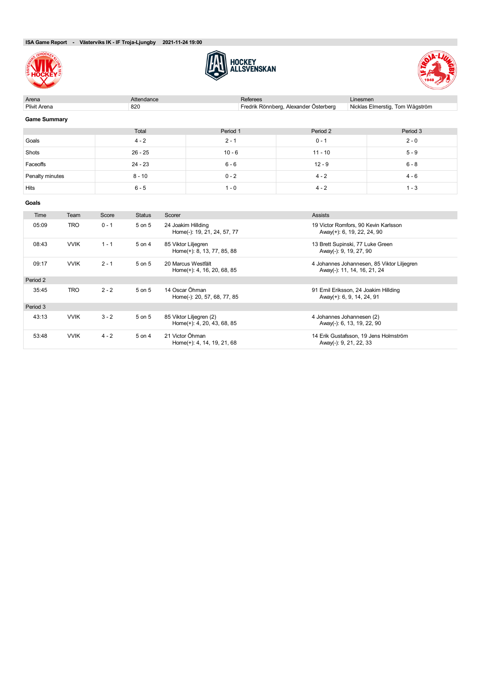





| Arena               | Attendance             |          | Referees                              | Linesmen                        |
|---------------------|------------------------|----------|---------------------------------------|---------------------------------|
| Plivit Arena        | 820                    |          | Fredrik Rönnberg, Alexander Österberg | Nicklas Elmerstig, Tom Wågström |
| <b>Game Summary</b> |                        |          |                                       |                                 |
|                     | Total                  | Period 1 | Period 2                              | Period 3                        |
| Goals               | $4 - 2$                | $2 - 1$  | $0 - 1$                               | $2 - 0$                         |
| Shots               | $26 - 25$              | $10 - 6$ | $11 - 10$                             | $5 - 9$                         |
| Faceoffs            | $24 - 23$              | $6 - 6$  | $12 - 9$                              | $6 - 8$                         |
| Penalty minutes     | $8 - 10$               | $0 - 2$  | $4 - 2$                               | $4 - 6$                         |
| Hits                | $6 - 5$                | $1 - 0$  | $4 - 2$                               | $1 - 3$                         |
| Goals               |                        |          |                                       |                                 |
| Time<br>Team        | Score<br><b>Status</b> | Scorer   | Assists                               |                                 |

| <b>i</b> ime | Team        | <b>Score</b> | Status | <b>Scorer</b>                                         | <b>ASSISTS</b>                                                            |
|--------------|-------------|--------------|--------|-------------------------------------------------------|---------------------------------------------------------------------------|
| 05:09        | <b>TRO</b>  | $0 - 1$      | 5 on 5 | 24 Joakim Hillding<br>Home(-): 19, 21, 24, 57, 77     | 19 Victor Romfors, 90 Kevin Karlsson<br>Away(+): 6, 19, 22, 24, 90        |
| 08:43        | <b>VVIK</b> | $1 - 1$      | 5 on 4 | 85 Viktor Liljegren<br>Home(+): 8, 13, 77, 85, 88     | 13 Brett Supinski, 77 Luke Green<br>Away(-): 9, 19, 27, 90                |
| 09:17        | <b>VVIK</b> | $2 - 1$      | 5 on 5 | 20 Marcus Westfält<br>Home(+): 4, 16, 20, 68, 85      | 4 Johannes Johannesen, 85 Viktor Liljegren<br>Away(-): 11, 14, 16, 21, 24 |
| Period 2     |             |              |        |                                                       |                                                                           |
| 35:45        | <b>TRO</b>  | $2 - 2$      | 5 on 5 | 14 Oscar Öhman<br>Home(-): 20, 57, 68, 77, 85         | 91 Emil Eriksson, 24 Joakim Hillding<br>Away(+): 6, 9, 14, 24, 91         |
| Period 3     |             |              |        |                                                       |                                                                           |
| 43:13        | <b>VVIK</b> | $3 - 2$      | 5 on 5 | 85 Viktor Liljegren (2)<br>Home(+): 4, 20, 43, 68, 85 | 4 Johannes Johannesen (2)<br>Away(-): 6, 13, 19, 22, 90                   |
| 53:48        | <b>VVIK</b> | $4 - 2$      | 5 on 4 | 21 Victor Öhman<br>Home(+): 4, 14, 19, 21, 68         | 14 Erik Gustafsson, 19 Jens Holmström<br>Away(-): 9, 21, 22, 33           |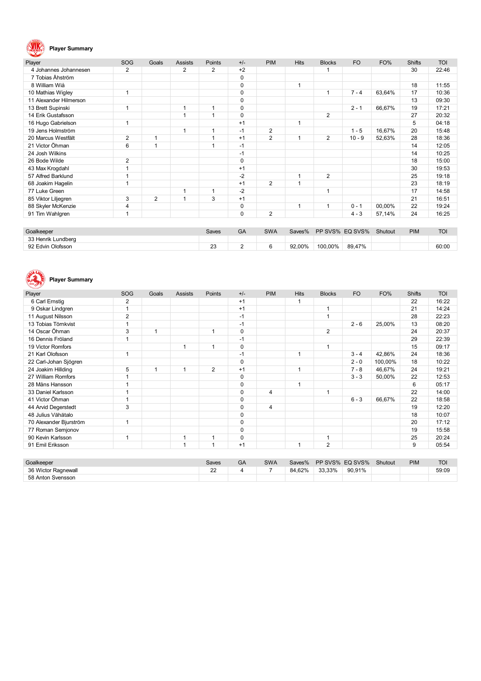## **Player Summary**

| Player                 | SOG            | Goals | <b>Assists</b> | Points       | $+/-$       | <b>PIM</b>     | <b>Hits</b> | <b>Blocks</b>  | <b>FO</b> | FO%    | <b>Shifts</b> | <b>TOI</b> |
|------------------------|----------------|-------|----------------|--------------|-------------|----------------|-------------|----------------|-----------|--------|---------------|------------|
| 4 Johannes Johannesen  | 2              |       | 2              | 2            | $+2$        |                |             |                |           |        | 30            | 22:46      |
| 7 Tobias Åhström       |                |       |                |              | 0           |                |             |                |           |        |               |            |
| 8 William Wiå          |                |       |                |              | $\mathbf 0$ |                | 1           |                |           |        | 18            | 11:55      |
| 10 Mathias Wigley      | $\overline{1}$ |       |                |              | $\mathbf 0$ |                |             | 1              | $7 - 4$   | 63,64% | 17            | 10:36      |
| 11 Alexander Hilmerson |                |       |                |              | 0           |                |             |                |           |        | 13            | 09:30      |
| 13 Brett Supinski      | -1             |       | 1              | 1            | 0           |                |             |                | $2 - 1$   | 66,67% | 19            | 17:21      |
| 14 Erik Gustafsson     |                |       | 1              | 1            | $\mathbf 0$ |                |             | $\overline{2}$ |           |        | 27            | 20:32      |
| 16 Hugo Gabrielson     |                |       |                |              | $+1$        |                | 1           |                |           |        | 5             | 04:18      |
| 19 Jens Holmström      |                |       | 1              | 1            | $-1$        | $\overline{2}$ |             |                | $1 - 5$   | 16,67% | 20            | 15:48      |
| 20 Marcus Westfält     | 2              | 1     |                | 1            | $+1$        | $\overline{2}$ |             | 2              | $10 - 9$  | 52,63% | 28            | 18:36      |
| 21 Victor Öhman        | 6              | 1     |                | 1            | $-1$        |                |             |                |           |        | 14            | 12:05      |
| 24 Josh Wilkins        |                |       |                |              | $-1$        |                |             |                |           |        | 14            | 10:25      |
| 26 Bode Wilde          | 2              |       |                |              | $\mathbf 0$ |                |             |                |           |        | 18            | 15:00      |
| 43 Max Krogdahl        |                |       |                |              | $+1$        |                |             |                |           |        | 30            | 19:53      |
| 57 Alfred Barklund     |                |       |                |              | $-2$        |                |             | 2              |           |        | 25            | 19:18      |
| 68 Joakim Hagelin      |                |       |                |              | $+1$        | $\overline{2}$ |             |                |           |        | 23            | 18:19      |
| 77 Luke Green          |                |       | 1              | $\mathbf{1}$ | $-2$        |                |             |                |           |        | 17            | 14:58      |
| 85 Viktor Liljegren    | 3              | 2     | 1              | 3            | $+1$        |                |             |                |           |        | 21            | 16:51      |
| 88 Skyler McKenzie     | 4              |       |                |              | $\mathbf 0$ |                |             |                | $0 - 1$   | 00,00% | 22            | 19:24      |
| 91 Tim Wahlgren        |                |       |                |              | $\mathbf 0$ | $\overline{2}$ |             |                | $4 - 3$   | 57,14% | 24            | 16:25      |
|                        |                |       |                |              |             |                |             |                |           |        |               |            |

| Goalkeeper         | Saves              | GA | <b>SWA</b> | Saves% | PP SVS% EQ SVS% |        | Shutout | <b>PIM</b> | <b>TOI</b> |
|--------------------|--------------------|----|------------|--------|-----------------|--------|---------|------------|------------|
| 33 Henrik Lundberg |                    |    |            |        |                 |        |         |            |            |
| 92 Edvin Olofsson  | າາ<br>دے<br>$\sim$ |    |            | 92,00% | 100,00%         | 89,47% |         |            | 60:00      |

# **Player Summary**

| Player                 | SOG            | Goals | <b>Assists</b> | Points         | $+/-$       | <b>PIM</b> | <b>Hits</b> | <b>Blocks</b>  | <b>FO</b> | FO%     | <b>Shifts</b> | <b>TOI</b> |
|------------------------|----------------|-------|----------------|----------------|-------------|------------|-------------|----------------|-----------|---------|---------------|------------|
| 6 Carl Ernstig         | 2              |       |                |                | $+1$        |            |             |                |           |         | 22            | 16:22      |
| 9 Oskar Lindgren       | и              |       |                |                | $+1$        |            |             | 1              |           |         | 21            | 14:24      |
| 11 August Nilsson      | $\overline{2}$ |       |                |                | $-1$        |            |             | 1              |           |         | 28            | 22:23      |
| 13 Tobias Törnkvist    |                |       |                |                | $-1$        |            |             |                | $2 - 6$   | 25,00%  | 13            | 08:20      |
| 14 Oscar Öhman         | 3              |       |                | $\mathbf 1$    | $\pmb{0}$   |            |             | $\overline{2}$ |           |         | 24            | 20:37      |
| 16 Dennis Fröland      | и              |       |                |                | $-1$        |            |             |                |           |         | 29            | 22:39      |
| 19 Victor Romfors      |                |       | 1              | $\mathbf 1$    | $\mathbf 0$ |            |             | 1              |           |         | 15            | 09:17      |
| 21 Karl Olofsson       | и              |       |                |                | $-1$        |            | 1           |                | $3 - 4$   | 42,86%  | 24            | 18:36      |
| 22 Carl-Johan Sjögren  |                |       |                |                | $\mathbf 0$ |            |             |                | $2 - 0$   | 100,00% | 18            | 10:22      |
| 24 Joakim Hillding     | 5              |       | 1              | $\overline{2}$ | $+1$        |            | 1           |                | $7 - 8$   | 46,67%  | 24            | 19:21      |
| 27 William Romfors     |                |       |                |                | $\mathbf 0$ |            |             |                | $3 - 3$   | 50,00%  | 22            | 12:53      |
| 28 Måns Hansson        |                |       |                |                | $\mathbf 0$ |            | 1           |                |           |         | 6             | 05:17      |
| 33 Daniel Karlsson     | и              |       |                |                | $\pmb{0}$   | 4          |             | 1              |           |         | 22            | 14:00      |
| 41 Victor Öhman        |                |       |                |                | $\mathbf 0$ |            |             |                | $6 - 3$   | 66,67%  | 22            | 18:58      |
| 44 Arvid Degerstedt    | 3              |       |                |                | $\mathbf 0$ | 4          |             |                |           |         | 19            | 12:20      |
| 48 Julius Vähätalo     |                |       |                |                | $\mathbf 0$ |            |             |                |           |         | 18            | 10:07      |
| 70 Alexander Bjurström | 4              |       |                |                | $\mathbf 0$ |            |             |                |           |         | 20            | 17:12      |
| 77 Roman Semjonov      |                |       |                |                | $\mathbf 0$ |            |             |                |           |         | 19            | 15:58      |
| 90 Kevin Karlsson      | 1              |       | 1              | 1              | $\mathbf 0$ |            |             | 1              |           |         | 25            | 20:24      |
| 91 Emil Eriksson       |                |       | 1              | 1              | $+1$        |            | -1          | $\overline{2}$ |           |         | 9             | 05:54      |
|                        |                |       |                |                |             |            |             |                |           |         |               |            |

| Goalkeeper          | Saves                 | <b>GA</b> | <b>SWA</b> | Saves% |        | PP SVS% EQ SVS% | Shutout | <b>PIM</b> | <b>TOI</b> |
|---------------------|-----------------------|-----------|------------|--------|--------|-----------------|---------|------------|------------|
| 36 Wictor Ragnewall | $\Omega$<br><u>__</u> |           | -          | 84.62% | 33.33% | 90.91%          |         |            | 59:09      |
| 58 Anton Svensson   |                       |           |            |        |        |                 |         |            |            |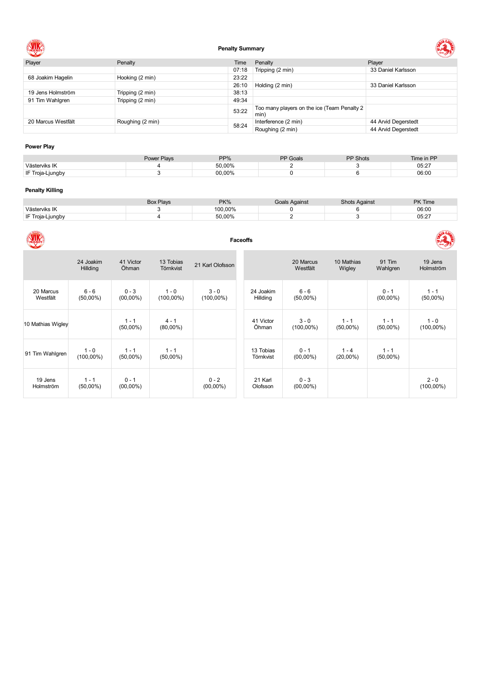

## **Penalty Summary**



| Player             | Penalty          | Time  | Penalty                                             | Player              |
|--------------------|------------------|-------|-----------------------------------------------------|---------------------|
|                    |                  | 07:18 | Tripping (2 min)                                    | 33 Daniel Karlsson  |
| 68 Joakim Hagelin  | Hooking (2 min)  | 23:22 |                                                     |                     |
|                    |                  | 26:10 | Holding (2 min)                                     | 33 Daniel Karlsson  |
| 19 Jens Holmström  | Tripping (2 min) | 38:13 |                                                     |                     |
| 91 Tim Wahlgren    | Tripping (2 min) | 49:34 |                                                     |                     |
|                    |                  | 53:22 | Too many players on the ice (Team Penalty 2<br>min) |                     |
| 20 Marcus Westfält | Roughing (2 min) | 58:24 | Interference (2 min)                                | 44 Arvid Degerstedt |
|                    |                  |       | Roughing (2 min)                                    | 44 Arvid Degerstedt |

## **Power Play**

|               | <b>Power Plays</b><br><b>OMACI</b> | PP%    | PP Goals | <b>PP Shots</b> | Time in PP |
|---------------|------------------------------------|--------|----------|-----------------|------------|
| Västerviks IK |                                    | 50.00% |          |                 | 05:27      |
| Troia-Liunɑbv |                                    | 00.00% |          |                 | 06:00      |

## **Penalty Killing**

|                  | <b>Box Plays</b> | PK%     | Goals Against | <b>Shots Against</b> | <b>PK Time</b> |
|------------------|------------------|---------|---------------|----------------------|----------------|
| Västerviks IK    |                  | 100.00% |               |                      | 06:00          |
| IF Troia-Liungby |                  | 50.00%  |               |                      | 05:27          |

|                       | <b>Faceoffs</b>         |                        |                         |                         |                        |                         |                        |                        |                         |  |  |  |  |
|-----------------------|-------------------------|------------------------|-------------------------|-------------------------|------------------------|-------------------------|------------------------|------------------------|-------------------------|--|--|--|--|
|                       | 24 Joakim<br>Hillding   | 41 Victor<br>Öhman     | 13 Tobias<br>Törnkvist  | 21 Karl Olofsson        |                        | 20 Marcus<br>Westfält   | 10 Mathias<br>Wigley   | 91 Tim<br>Wahlgren     | 19 Jens<br>Holmström    |  |  |  |  |
| 20 Marcus<br>Westfält | $6 - 6$<br>$(50,00\%)$  | $0 - 3$<br>$(00,00\%)$ | $1 - 0$<br>$(100,00\%)$ | $3 - 0$<br>$(100,00\%)$ | 24 Joakim<br>Hillding  | $6 - 6$<br>$(50,00\%)$  |                        | $0 - 1$<br>$(00,00\%)$ | $1 - 1$<br>$(50,00\%)$  |  |  |  |  |
| 10 Mathias Wigley     |                         | $1 - 1$<br>$(50,00\%)$ | $4 - 1$<br>$(80,00\%)$  |                         | 41 Victor<br>Öhman     | $3 - 0$<br>$(100,00\%)$ | $1 - 1$<br>$(50,00\%)$ | $1 - 1$<br>$(50,00\%)$ | $1 - 0$<br>$(100,00\%)$ |  |  |  |  |
| 91 Tim Wahlgren       | $1 - 0$<br>$(100,00\%)$ | $1 - 1$<br>$(50,00\%)$ | $1 - 1$<br>$(50,00\%)$  |                         | 13 Tobias<br>Törnkvist | $0 - 1$<br>$(00,00\%)$  | $1 - 4$<br>$(20,00\%)$ | $1 - 1$<br>$(50,00\%)$ |                         |  |  |  |  |
| 19 Jens<br>Holmström  | $1 - 1$<br>$(50,00\%)$  | $0 - 1$<br>$(00,00\%)$ |                         | $0 - 2$<br>$(00,00\%)$  | 21 Karl<br>Olofsson    | $0 - 3$<br>$(00,00\%)$  |                        |                        | $2 - 0$<br>$(100,00\%)$ |  |  |  |  |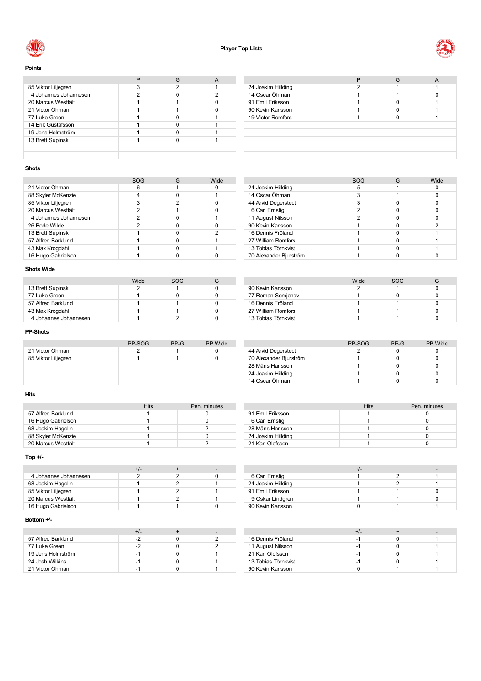



**Points**

| 85 Viktor Liljegren   | 2 |   |
|-----------------------|---|---|
| 4 Johannes Johannesen |   | າ |
| 20 Marcus Westfält    |   |   |
| 21 Victor Öhman       |   |   |
| 77 Luke Green         |   |   |
| 14 Erik Gustafsson    |   |   |
| 19 Jens Holmström     |   |   |
| 13 Brett Supinski     |   |   |
|                       |   |   |
|                       |   |   |

|                    |   | G | A |
|--------------------|---|---|---|
| 24 Joakim Hillding | っ |   |   |
| 14 Oscar Öhman     |   |   |   |
| 91 Emil Eriksson   |   |   |   |
| 90 Kevin Karlsson  |   |   |   |
| 19 Victor Romfors  |   |   |   |
|                    |   |   |   |
|                    |   |   |   |
|                    |   |   |   |
|                    |   |   |   |
|                    |   |   |   |

## **Shots**

|                       | SOG |   | Wide |
|-----------------------|-----|---|------|
| 21 Victor Öhman       | 6   |   |      |
| 88 Skyler McKenzie    |     |   |      |
| 85 Viktor Liljegren   |     | 2 |      |
| 20 Marcus Westfält    | 2   |   |      |
| 4 Johannes Johannesen |     |   |      |
| 26 Bode Wilde         | 2   |   |      |
| 13 Brett Supinski     |     |   | 2    |
| 57 Alfred Barklund    |     |   |      |
| 43 Max Krogdahl       |     |   |      |
| 16 Hugo Gabrielson    |     |   |      |

## **Shots Wide**

|                       | Wide | SOG |  |
|-----------------------|------|-----|--|
| 13 Brett Supinski     |      |     |  |
| 77 Luke Green         |      |     |  |
| 57 Alfred Barklund    |      |     |  |
| 43 Max Krogdahl       |      |     |  |
| 4 Johannes Johannesen |      |     |  |

## **PP-Shots**

|                     | PP-SOG | PP-G | <b>PP</b> Wide |
|---------------------|--------|------|----------------|
| 21 Victor Öhman     |        |      |                |
| 85 Viktor Liljegren |        |      |                |
|                     |        |      |                |
|                     |        |      |                |
|                     |        |      |                |

## **Hits**

|                    | <b>Hits</b> | Pen. minutes |
|--------------------|-------------|--------------|
| 57 Alfred Barklund |             |              |
| 16 Hugo Gabrielson |             |              |
| 68 Joakim Hagelin  |             |              |
| 88 Skyler McKenzie |             |              |
| 20 Marcus Westfält |             |              |

## **Top +/-**

| 4 Johannes Johannesen |  |  |
|-----------------------|--|--|
| 68 Joakim Hagelin     |  |  |
| 85 Viktor Liljegren   |  |  |
| 20 Marcus Westfält    |  |  |
| 16 Hugo Gabrielson    |  |  |

## **Bottom +/-**

| 57 Alfred Barklund |    |  |
|--------------------|----|--|
| 77 Luke Green      |    |  |
| 19 Jens Holmström  | -1 |  |
| 24 Josh Wilkins    |    |  |
| 21 Victor Öhman    |    |  |

|                        | <b>SOG</b> | G | Wide |
|------------------------|------------|---|------|
| 24 Joakim Hillding     | 5          |   |      |
| 14 Oscar Öhman         | 3          |   |      |
| 44 Arvid Degerstedt    | 3          |   |      |
| 6 Carl Ernstig         | 2          |   |      |
| 11 August Nilsson      | 2          |   |      |
| 90 Kevin Karlsson      |            |   | 2    |
| 16 Dennis Fröland      |            |   |      |
| 27 William Romfors     |            |   |      |
| 13 Tobias Törnkvist    |            |   |      |
| 70 Alexander Bjurström |            |   |      |

|                     | Wide | SOG |  |
|---------------------|------|-----|--|
| 90 Kevin Karlsson   |      |     |  |
| 77 Roman Semjonov   |      |     |  |
| 16 Dennis Fröland   |      |     |  |
| 27 William Romfors  |      |     |  |
| 13 Tobias Törnkvist |      |     |  |

|                        | PP-SOG | $PP-G$ | PP Wide |
|------------------------|--------|--------|---------|
| 44 Arvid Degerstedt    |        |        |         |
| 70 Alexander Bjurström |        |        |         |
| 28 Måns Hansson        |        |        |         |
| 24 Joakim Hillding     |        |        |         |
| 14 Oscar Öhman         |        |        |         |

|                    | Hits | Pen. minutes |
|--------------------|------|--------------|
| 91 Emil Eriksson   |      |              |
| 6 Carl Ernstig     |      |              |
| 28 Måns Hansson    |      |              |
| 24 Joakim Hillding |      |              |
| 21 Karl Olofsson   |      |              |

|                    | +/- |  |
|--------------------|-----|--|
| 6 Carl Ernstig     |     |  |
| 24 Joakim Hillding |     |  |
| 91 Emil Eriksson   |     |  |
| 9 Oskar Lindgren   |     |  |
| 90 Kevin Karlsson  |     |  |

|                     | +/- |  |
|---------------------|-----|--|
| 16 Dennis Fröland   | -1  |  |
| 11 August Nilsson   | -1  |  |
| 21 Karl Olofsson    | -1  |  |
| 13 Tobias Törnkvist | -1  |  |
| 90 Kevin Karlsson   |     |  |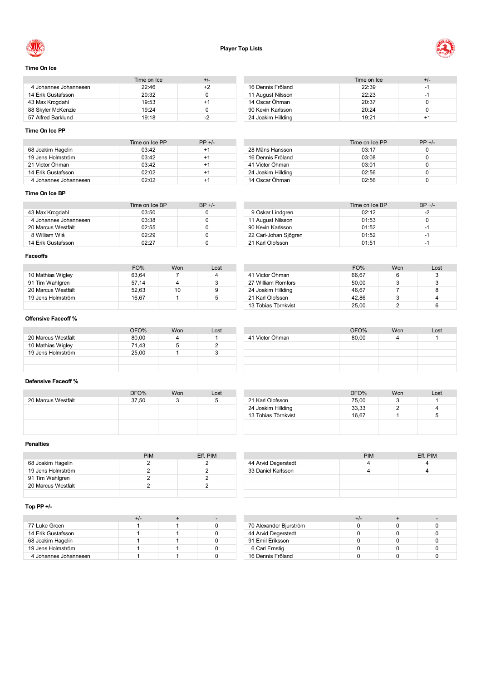

14 Oscar Öhman



## **Time On Ice**

|                       | Time on Ice | $+/-$ |
|-----------------------|-------------|-------|
| 4 Johannes Johannesen | 22:46       | +2    |
| 14 Erik Gustafsson    | 20:32       |       |
| 43 Max Krogdahl       | 19:53       | +1    |
| 88 Skyler McKenzie    | 19.24       |       |
| 57 Alfred Barklund    | 19.18       | $-2$  |

|                    | Time on Ice | +/- |
|--------------------|-------------|-----|
| 16 Dennis Fröland  | 22:39       | -1  |
| 11 August Nilsson  | 22:23       | -1  |
| 14 Oscar Öhman     | 20:37       |     |
| 90 Kevin Karlsson  | 20.24       |     |
| 24 Joakim Hillding | 19.21       | +1  |

## **Time On Ice PP**

|                       | Time on Ice PP | $PP +/-$ |
|-----------------------|----------------|----------|
| 68 Joakim Hagelin     | 03:42          | $+1$     |
| 19 Jens Holmström     | 03:42          | +1       |
| 21 Victor Öhman       | 03:42          | $+1$     |
| 14 Erik Gustafsson    | 02:02          | +1       |
| 4 Johannes Johannesen | 02.02          | +1       |

## Time on Ice PP  $PP +/-$ <br>03:17 0 Måns Hansson 03:17 0 16 Dennis Fröland 16 Dennis Fröland 16 Dennis Fröland 16 Dennis 16 Dennis 16 Dennis 16 Dennis 16 Dennis 16 Den<br>16 Dennis Fröland 16 Dennis 16 Dennis 16 Dennis 16 Dennis 16 Dennis 16 Dennis 16 Dennis 16 Dennis 16 Dennis 1 Victor Öhman 03:01 0

24 Joakim Hillding 02:56 0<br>14 Oscar Öhman 02:56 0<br>02:56 0

## **Time On Ice BP**

|                       | Time on Ice BP | $BP +/-$ |
|-----------------------|----------------|----------|
| 43 Max Krogdahl       | 03:50          |          |
| 4 Johannes Johannesen | 03:38          |          |
| 20 Marcus Westfält    | 02:55          |          |
| 8 William Wiå         | 02.29          |          |
| 14 Erik Gustafsson    | 02.27          |          |

|                       | Time on Ice BP | $BP +/-$ |
|-----------------------|----------------|----------|
| 9 Oskar Lindgren      | 02:12          | $-2$     |
| 11 August Nilsson     | 01:53          |          |
| 90 Kevin Karlsson     | 01:52          | -1       |
| 22 Carl-Johan Sjögren | 01:52          | -1       |
| 21 Karl Olofsson      | 01:51          | -1       |

## **Faceoffs**

|                    | FO%   | Won | Lost |
|--------------------|-------|-----|------|
| 10 Mathias Wigley  | 63.64 |     |      |
| 91 Tim Wahlgren    | 57.14 |     |      |
| 20 Marcus Westfält | 52.63 | 10  |      |
| 19 Jens Holmström  | 16.67 |     |      |
|                    |       |     |      |

|                     | FO%   | Won | Lost |
|---------------------|-------|-----|------|
| 41 Victor Öhman     | 66.67 |     | 3    |
| 27 William Romfors  | 50.00 | 3   |      |
| 24 Joakim Hillding  | 46.67 |     |      |
| 21 Karl Olofsson    | 42.86 | 3   |      |
| 13 Tobias Törnkvist | 25.00 |     |      |

OFO% Won Lost<br>80,00 4 1

## **Offensive Faceoff %**

|                    | OFO%  | Won | Lost |
|--------------------|-------|-----|------|
| 20 Marcus Westfält | 80.00 |     |      |
| 10 Mathias Wigley  | 71.43 | b   |      |
| 19 Jens Holmström  | 25.00 |     |      |
|                    |       |     |      |
|                    |       |     |      |

41 Victor Öhman 80,00 4 1

## **Defensive Faceoff %**

|                    | DFO%  | Won | Lost |                     | DFO%  | Won | Lost |
|--------------------|-------|-----|------|---------------------|-------|-----|------|
| 20 Marcus Westfält | 37,50 |     |      | 21 Karl Olofsson    | 75,00 |     |      |
|                    |       |     |      | 24 Joakim Hillding  | 33,33 |     |      |
|                    |       |     |      | 13 Tobias Törnkvist | 16,67 |     |      |
|                    |       |     |      |                     |       |     |      |
|                    |       |     |      |                     |       |     |      |

## **Penalties**

|                    | PIM | Eff. PIM |
|--------------------|-----|----------|
| 68 Joakim Hagelin  |     |          |
| 19 Jens Holmström  |     |          |
| 91 Tim Wahlgren    |     |          |
| 20 Marcus Westfält |     |          |
|                    |     |          |

|                     | <b>PIM</b> | Eff. PIM |
|---------------------|------------|----------|
| 44 Arvid Degerstedt |            |          |
| 33 Daniel Karlsson  |            |          |
|                     |            |          |

## **Top PP +/-**

| 77 Luke Green         |  |  |
|-----------------------|--|--|
| 14 Erik Gustafsson    |  |  |
| 68 Joakim Hagelin     |  |  |
| 19 Jens Holmström     |  |  |
| 4 Johannes Johannesen |  |  |

|                        | +/- |  |
|------------------------|-----|--|
| 70 Alexander Bjurström |     |  |
| 44 Arvid Degerstedt    |     |  |
| 91 Emil Eriksson       |     |  |
| 6 Carl Ernstig         |     |  |
| 16 Dennis Fröland      |     |  |